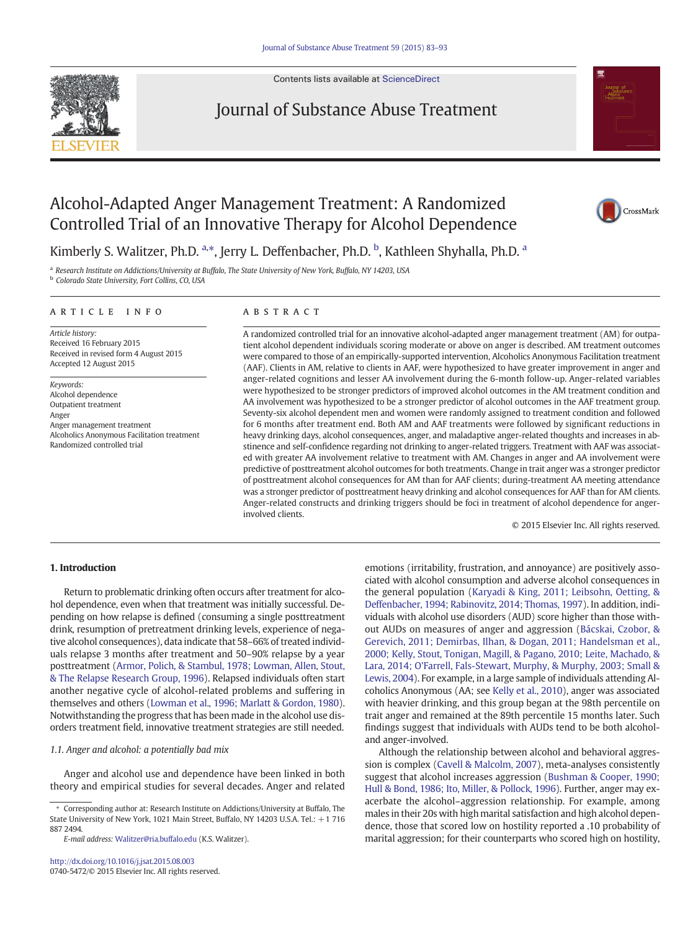Contents lists available at [ScienceDirect](http://www.sciencedirect.com/science/journal/07405472)



## Journal of Substance Abuse Treatment



# Alcohol-Adapted Anger Management Treatment: A Randomized Controlled Trial of an Innovative Therapy for Alcohol Dependence

CrossMark

Kimberly S. Walitzer, Ph.D. <sup>a,\*</sup>, Jerry L. Deffenbacher, Ph.D. <sup>b</sup>, Kathleen Shyhalla, Ph.D. <sup>a</sup>

a Research Institute on Addictions/University at Buffalo, The State University of New York, Buffalo, NY 14203, USA **b** Colorado State University, Fort Collins, CO, USA

#### article info abstract

Article history: Received 16 February 2015 Received in revised form 4 August 2015 Accepted 12 August 2015

Keywords: Alcohol dependence Outpatient treatment Anger Anger management treatment Alcoholics Anonymous Facilitation treatment Randomized controlled trial

A randomized controlled trial for an innovative alcohol-adapted anger management treatment (AM) for outpatient alcohol dependent individuals scoring moderate or above on anger is described. AM treatment outcomes were compared to those of an empirically-supported intervention, Alcoholics Anonymous Facilitation treatment (AAF). Clients in AM, relative to clients in AAF, were hypothesized to have greater improvement in anger and anger-related cognitions and lesser AA involvement during the 6-month follow-up. Anger-related variables were hypothesized to be stronger predictors of improved alcohol outcomes in the AM treatment condition and AA involvement was hypothesized to be a stronger predictor of alcohol outcomes in the AAF treatment group. Seventy-six alcohol dependent men and women were randomly assigned to treatment condition and followed for 6 months after treatment end. Both AM and AAF treatments were followed by significant reductions in heavy drinking days, alcohol consequences, anger, and maladaptive anger-related thoughts and increases in abstinence and self-confidence regarding not drinking to anger-related triggers. Treatment with AAF was associated with greater AA involvement relative to treatment with AM. Changes in anger and AA involvement were predictive of posttreatment alcohol outcomes for both treatments. Change in trait anger was a stronger predictor of posttreatment alcohol consequences for AM than for AAF clients; during-treatment AA meeting attendance was a stronger predictor of posttreatment heavy drinking and alcohol consequences for AAF than for AM clients. Anger-related constructs and drinking triggers should be foci in treatment of alcohol dependence for angerinvolved clients.

© 2015 Elsevier Inc. All rights reserved.

### 1. Introduction

Return to problematic drinking often occurs after treatment for alcohol dependence, even when that treatment was initially successful. Depending on how relapse is defined (consuming a single posttreatment drink, resumption of pretreatment drinking levels, experience of negative alcohol consequences), data indicate that 58–66% of treated individuals relapse 3 months after treatment and 50–90% relapse by a year posttreatment [\(Armor, Polich, & Stambul, 1978; Lowman, Allen, Stout,](#page--1-0) [& The Relapse Research Group, 1996](#page--1-0)). Relapsed individuals often start another negative cycle of alcohol-related problems and suffering in themselves and others [\(Lowman et al., 1996; Marlatt & Gordon, 1980](#page--1-0)). Notwithstanding the progress that has been made in the alcohol use disorders treatment field, innovative treatment strategies are still needed.

#### 1.1. Anger and alcohol: a potentially bad mix

Anger and alcohol use and dependence have been linked in both theory and empirical studies for several decades. Anger and related

⁎ Corresponding author at: Research Institute on Addictions/University at Buffalo, The State University of New York, 1021 Main Street, Buffalo, NY 14203 U.S.A. Tel.: +1 716 887 2494.

E-mail address: [Walitzer@ria.buffalo.edu](mailto:Walitzer@ria.buffalo.edu) (K.S. Walitzer).

emotions (irritability, frustration, and annoyance) are positively associated with alcohol consumption and adverse alcohol consequences in the general population ([Karyadi & King, 2011; Leibsohn, Oetting, &](#page--1-0) [Deffenbacher, 1994; Rabinovitz, 2014; Thomas, 1997\)](#page--1-0). In addition, individuals with alcohol use disorders (AUD) score higher than those without AUDs on measures of anger and aggression ([Bácskai, Czobor, &](#page--1-0) [Gerevich, 2011; Demirbas, Ilhan, & Dogan, 2011; Handelsman et al.,](#page--1-0) [2000; Kelly, Stout, Tonigan, Magill, & Pagano, 2010; Leite, Machado, &](#page--1-0) [Lara, 2014; O'Farrell, Fals-Stewart, Murphy, & Murphy, 2003; Small &](#page--1-0) [Lewis, 2004\)](#page--1-0). For example, in a large sample of individuals attending Alcoholics Anonymous (AA; see [Kelly et al., 2010\)](#page--1-0), anger was associated with heavier drinking, and this group began at the 98th percentile on trait anger and remained at the 89th percentile 15 months later. Such findings suggest that individuals with AUDs tend to be both alcoholand anger-involved.

Although the relationship between alcohol and behavioral aggression is complex [\(Cavell & Malcolm, 2007\)](#page--1-0), meta-analyses consistently suggest that alcohol increases aggression [\(Bushman & Cooper, 1990;](#page--1-0) [Hull & Bond, 1986; Ito, Miller, & Pollock, 1996\)](#page--1-0). Further, anger may exacerbate the alcohol–aggression relationship. For example, among males in their 20s with high marital satisfaction and high alcohol dependence, those that scored low on hostility reported a .10 probability of marital aggression; for their counterparts who scored high on hostility,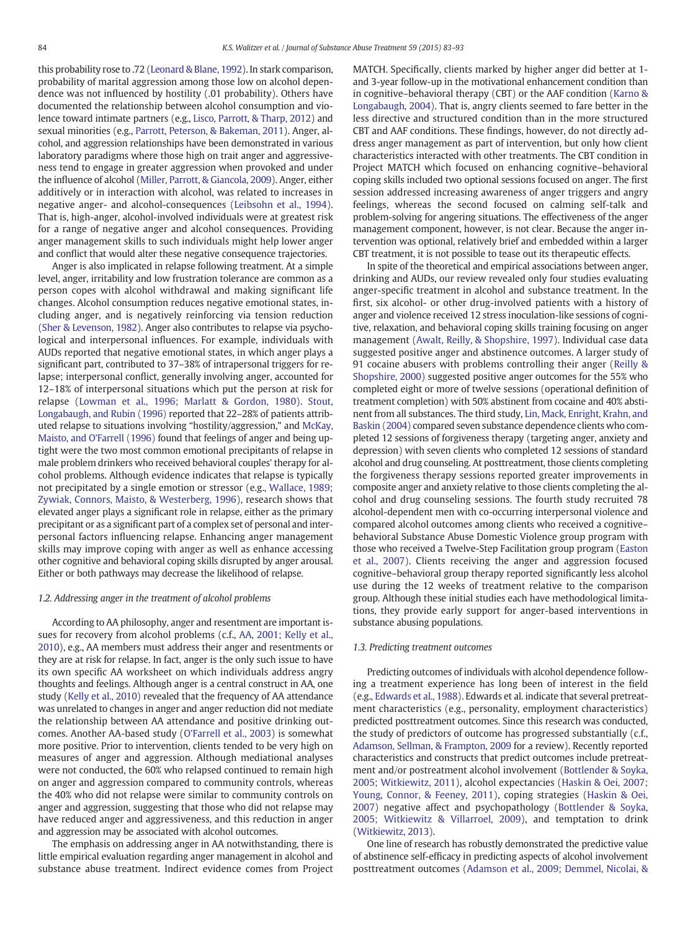this probability rose to .72 [\(Leonard & Blane, 1992\)](#page--1-0). In stark comparison, probability of marital aggression among those low on alcohol dependence was not influenced by hostility (.01 probability). Others have documented the relationship between alcohol consumption and violence toward intimate partners (e.g., [Lisco, Parrott, & Tharp, 2012\)](#page--1-0) and sexual minorities (e.g., [Parrott, Peterson, & Bakeman, 2011](#page--1-0)). Anger, alcohol, and aggression relationships have been demonstrated in various laboratory paradigms where those high on trait anger and aggressiveness tend to engage in greater aggression when provoked and under the influence of alcohol [\(Miller, Parrott, & Giancola, 2009\)](#page--1-0). Anger, either additively or in interaction with alcohol, was related to increases in negative anger- and alcohol-consequences [\(Leibsohn et al., 1994](#page--1-0)). That is, high-anger, alcohol-involved individuals were at greatest risk for a range of negative anger and alcohol consequences. Providing anger management skills to such individuals might help lower anger and conflict that would alter these negative consequence trajectories.

Anger is also implicated in relapse following treatment. At a simple level, anger, irritability and low frustration tolerance are common as a person copes with alcohol withdrawal and making significant life changes. Alcohol consumption reduces negative emotional states, including anger, and is negatively reinforcing via tension reduction ([Sher & Levenson, 1982\)](#page--1-0). Anger also contributes to relapse via psychological and interpersonal influences. For example, individuals with AUDs reported that negative emotional states, in which anger plays a significant part, contributed to 37–38% of intrapersonal triggers for relapse; interpersonal conflict, generally involving anger, accounted for 12–18% of interpersonal situations which put the person at risk for relapse [\(Lowman et al., 1996; Marlatt & Gordon, 1980\)](#page--1-0). [Stout,](#page--1-0) [Longabaugh, and Rubin \(1996\)](#page--1-0) reported that 22–28% of patients attributed relapse to situations involving "hostility/aggression," and [McKay,](#page--1-0) Maisto, and O'[Farrell \(1996\)](#page--1-0) found that feelings of anger and being uptight were the two most common emotional precipitants of relapse in male problem drinkers who received behavioral couples' therapy for alcohol problems. Although evidence indicates that relapse is typically not precipitated by a single emotion or stressor (e.g., [Wallace, 1989;](#page--1-0) [Zywiak, Connors, Maisto, & Westerberg, 1996](#page--1-0)), research shows that elevated anger plays a significant role in relapse, either as the primary precipitant or as a significant part of a complex set of personal and interpersonal factors influencing relapse. Enhancing anger management skills may improve coping with anger as well as enhance accessing other cognitive and behavioral coping skills disrupted by anger arousal. Either or both pathways may decrease the likelihood of relapse.

#### 1.2. Addressing anger in the treatment of alcohol problems

According to AA philosophy, anger and resentment are important issues for recovery from alcohol problems (c.f., [AA, 2001; Kelly et al.,](#page--1-0) [2010](#page--1-0)), e.g., AA members must address their anger and resentments or they are at risk for relapse. In fact, anger is the only such issue to have its own specific AA worksheet on which individuals address angry thoughts and feelings. Although anger is a central construct in AA, one study ([Kelly et al., 2010\)](#page--1-0) revealed that the frequency of AA attendance was unrelated to changes in anger and anger reduction did not mediate the relationship between AA attendance and positive drinking outcomes. Another AA-based study [\(O'Farrell et al., 2003\)](#page--1-0) is somewhat more positive. Prior to intervention, clients tended to be very high on measures of anger and aggression. Although mediational analyses were not conducted, the 60% who relapsed continued to remain high on anger and aggression compared to community controls, whereas the 40% who did not relapse were similar to community controls on anger and aggression, suggesting that those who did not relapse may have reduced anger and aggressiveness, and this reduction in anger and aggression may be associated with alcohol outcomes.

The emphasis on addressing anger in AA notwithstanding, there is little empirical evaluation regarding anger management in alcohol and substance abuse treatment. Indirect evidence comes from Project MATCH. Specifically, clients marked by higher anger did better at 1 and 3-year follow-up in the motivational enhancement condition than in cognitive–behavioral therapy (CBT) or the AAF condition [\(Karno &](#page--1-0) [Longabaugh, 2004](#page--1-0)). That is, angry clients seemed to fare better in the less directive and structured condition than in the more structured CBT and AAF conditions. These findings, however, do not directly address anger management as part of intervention, but only how client characteristics interacted with other treatments. The CBT condition in Project MATCH which focused on enhancing cognitive–behavioral coping skills included two optional sessions focused on anger. The first session addressed increasing awareness of anger triggers and angry feelings, whereas the second focused on calming self-talk and problem-solving for angering situations. The effectiveness of the anger management component, however, is not clear. Because the anger intervention was optional, relatively brief and embedded within a larger CBT treatment, it is not possible to tease out its therapeutic effects.

In spite of the theoretical and empirical associations between anger, drinking and AUDs, our review revealed only four studies evaluating anger-specific treatment in alcohol and substance treatment. In the first, six alcohol- or other drug-involved patients with a history of anger and violence received 12 stress inoculation-like sessions of cognitive, relaxation, and behavioral coping skills training focusing on anger management [\(Awalt, Reilly, & Shopshire, 1997](#page--1-0)). Individual case data suggested positive anger and abstinence outcomes. A larger study of 91 cocaine abusers with problems controlling their anger [\(Reilly &](#page--1-0) [Shopshire, 2000](#page--1-0)) suggested positive anger outcomes for the 55% who completed eight or more of twelve sessions (operational definition of treatment completion) with 50% abstinent from cocaine and 40% abstinent from all substances. The third study, [Lin, Mack, Enright, Krahn, and](#page--1-0) [Baskin \(2004\)](#page--1-0) compared seven substance dependence clients who completed 12 sessions of forgiveness therapy (targeting anger, anxiety and depression) with seven clients who completed 12 sessions of standard alcohol and drug counseling. At posttreatment, those clients completing the forgiveness therapy sessions reported greater improvements in composite anger and anxiety relative to those clients completing the alcohol and drug counseling sessions. The fourth study recruited 78 alcohol-dependent men with co-occurring interpersonal violence and compared alcohol outcomes among clients who received a cognitive– behavioral Substance Abuse Domestic Violence group program with those who received a Twelve-Step Facilitation group program ([Easton](#page--1-0) [et al., 2007](#page--1-0)). Clients receiving the anger and aggression focused cognitive–behavioral group therapy reported significantly less alcohol use during the 12 weeks of treatment relative to the comparison group. Although these initial studies each have methodological limitations, they provide early support for anger-based interventions in substance abusing populations.

#### 1.3. Predicting treatment outcomes

Predicting outcomes of individuals with alcohol dependence following a treatment experience has long been of interest in the field (e.g., [Edwards et al., 1988](#page--1-0)). Edwards et al. indicate that several pretreatment characteristics (e.g., personality, employment characteristics) predicted posttreatment outcomes. Since this research was conducted, the study of predictors of outcome has progressed substantially (c.f., [Adamson, Sellman, & Frampton, 2009](#page--1-0) for a review). Recently reported characteristics and constructs that predict outcomes include pretreatment and/or postreatment alcohol involvement ([Bottlender & Soyka,](#page--1-0) [2005; Witkiewitz, 2011\)](#page--1-0), alcohol expectancies ([Haskin & Oei, 2007;](#page--1-0) [Young, Connor, & Feeney, 2011](#page--1-0)), coping strategies ([Haskin & Oei,](#page--1-0) [2007\)](#page--1-0) negative affect and psychopathology [\(Bottlender & Soyka,](#page--1-0) [2005; Witkiewitz & Villarroel, 2009](#page--1-0)), and temptation to drink ([Witkiewitz, 2013\)](#page--1-0).

One line of research has robustly demonstrated the predictive value of abstinence self-efficacy in predicting aspects of alcohol involvement posttreatment outcomes [\(Adamson et al., 2009; Demmel, Nicolai, &](#page--1-0)